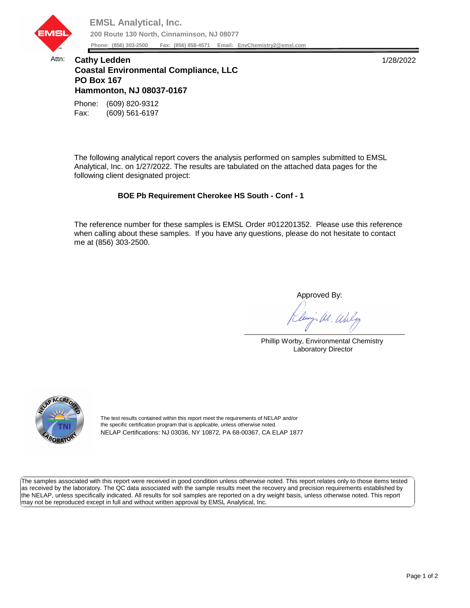

## Attn: **Cathy Ledden** 1/28/2022 **Coastal Environmental Compliance, LLC PO Box 167 Hammonton, NJ 08037-0167**

Fax: (609) 561-6197 Phone: (609) 820-9312

The following analytical report covers the analysis performed on samples submitted to EMSL Analytical, Inc. on 1/27/2022. The results are tabulated on the attached data pages for the following client designated project:

## **BOE Pb Requirement Cherokee HS South - Conf - 1**

The reference number for these samples is EMSL Order #012201352. Please use this reference when calling about these samples. If you have any questions, please do not hesitate to contact me at (856) 303-2500.

Approved By:

W. Whly

Phillip Worby, Environmental Chemistry Laboratory Director



The test results contained within this report meet the requirements of NELAP and/or the specific certification program that is applicable, unless otherwise noted. NELAP Certifications: NJ 03036, NY 10872, PA 68-00367, CA ELAP 1877

The samples associated with this report were received in good condition unless otherwise noted. This report relates only to those items tested as received by the laboratory. The QC data associated with the sample results meet the recovery and precision requirements established by the NELAP, unless specifically indicated. All results for soil samples are reported on a dry weight basis, unless otherwise noted. This report may not be reproduced except in full and without written approval by EMSL Analytical, Inc.